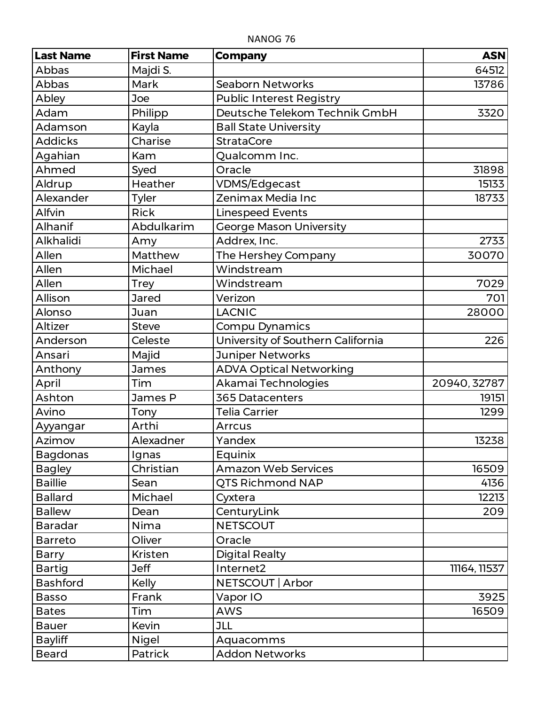| <b>Last Name</b> | <b>First Name</b> | <b>Company</b>                    | <b>ASN</b>   |
|------------------|-------------------|-----------------------------------|--------------|
| Abbas            | Majdi S.          |                                   | 64512        |
| Abbas            | Mark              | <b>Seaborn Networks</b>           | 13786        |
| Abley            | Joe               | <b>Public Interest Registry</b>   |              |
| Adam             | Philipp           | Deutsche Telekom Technik GmbH     | 3320         |
| Adamson          | Kayla             | <b>Ball State University</b>      |              |
| <b>Addicks</b>   | Charise           | <b>StrataCore</b>                 |              |
| Agahian          | Kam               | Qualcomm Inc.                     |              |
| Ahmed            | Syed              | Oracle                            | 31898        |
| Aldrup           | Heather           | <b>VDMS/Edgecast</b>              | 15133        |
| Alexander        | <b>Tyler</b>      | Zenimax Media Inc                 | 18733        |
| Alfvin           | <b>Rick</b>       | <b>Linespeed Events</b>           |              |
| Alhanif          | Abdulkarim        | <b>George Mason University</b>    |              |
| Alkhalidi        | Amy               | Addrex, Inc.                      | 2733         |
| Allen            | Matthew           | The Hershey Company               | 30070        |
| Allen            | Michael           | Windstream                        |              |
| Allen            | <b>Trey</b>       | Windstream                        | 7029         |
| Allison          | <b>Jared</b>      | Verizon                           | 701          |
| Alonso           | Juan              | <b>LACNIC</b>                     | 28000        |
| Altizer          | <b>Steve</b>      | Compu Dynamics                    |              |
| Anderson         | Celeste           | University of Southern California | 226          |
| Ansari           | Majid             | <b>Juniper Networks</b>           |              |
| Anthony          | <b>James</b>      | <b>ADVA Optical Networking</b>    |              |
| April            | Tim               | Akamai Technologies               | 20940, 32787 |
| Ashton           | James P           | <b>365 Datacenters</b>            | 19151        |
| Avino            | Tony              | <b>Telia Carrier</b>              | 1299         |
| Ayyangar         | Arthi             | <b>Arrcus</b>                     |              |
| Azimov           | Alexadner         | Yandex                            | 13238        |
| <b>Bagdonas</b>  | Ignas             | Equinix                           |              |
| <b>Bagley</b>    | Christian         | <b>Amazon Web Services</b>        | 16509        |
| <b>Baillie</b>   | Sean              | QTS Richmond NAP                  | 4136         |
| <b>Ballard</b>   | Michael           | Cyxtera                           | 12213        |
| <b>Ballew</b>    | Dean              | CenturyLink                       | 209          |
| <b>Baradar</b>   | Nima              | <b>NETSCOUT</b>                   |              |
| <b>Barreto</b>   | Oliver            | Oracle                            |              |
| <b>Barry</b>     | Kristen           | <b>Digital Realty</b>             |              |
| <b>Bartig</b>    | <b>Jeff</b>       | Internet2                         | 11164, 11537 |
| <b>Bashford</b>  | <b>Kelly</b>      | NETSCOUT   Arbor                  |              |
| <b>Basso</b>     | Frank             | Vapor IO                          | 3925         |
| <b>Bates</b>     | Tim               | <b>AWS</b>                        | 16509        |
| <b>Bauer</b>     | Kevin             | <b>JLL</b>                        |              |
| <b>Bayliff</b>   | <b>Nigel</b>      | Aquacomms                         |              |
| <b>Beard</b>     | Patrick           | <b>Addon Networks</b>             |              |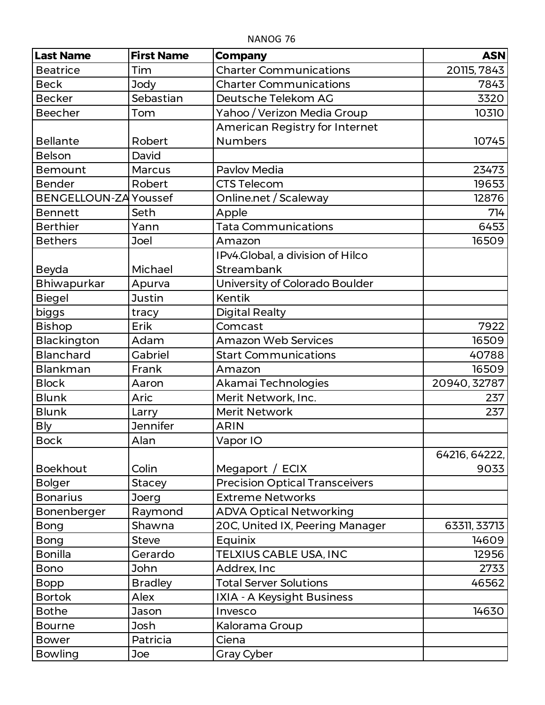| <b>Last Name</b>             | <b>First Name</b> | <b>Company</b>                        | <b>ASN</b>    |
|------------------------------|-------------------|---------------------------------------|---------------|
| <b>Beatrice</b>              | Tim               | <b>Charter Communications</b>         | 20115, 7843   |
| <b>Beck</b>                  | <b>Jody</b>       | <b>Charter Communications</b>         | 7843          |
| <b>Becker</b>                | Sebastian         | Deutsche Telekom AG                   | 3320          |
| <b>Beecher</b>               | Tom               | Yahoo / Verizon Media Group           | 10310         |
|                              |                   | American Registry for Internet        |               |
| <b>Bellante</b>              | Robert            | <b>Numbers</b>                        | 10745         |
| <b>Belson</b>                | David             |                                       |               |
| <b>Bemount</b>               | <b>Marcus</b>     | <b>Pavlov Media</b>                   | 23473         |
| <b>Bender</b>                | Robert            | <b>CTS Telecom</b>                    | 19653         |
| <b>BENGELLOUN-ZA Youssef</b> |                   | Online.net / Scaleway                 | 12876         |
| <b>Bennett</b>               | Seth              | Apple                                 | 714           |
| <b>Berthier</b>              | Yann              | <b>Tata Communications</b>            | 6453          |
| <b>Bethers</b>               | Joel              | Amazon                                | 16509         |
|                              |                   | IPv4.Global, a division of Hilco      |               |
| Beyda                        | Michael           | Streambank                            |               |
| Bhiwapurkar                  | Apurva            | University of Colorado Boulder        |               |
| <b>Biegel</b>                | <b>Justin</b>     | <b>Kentik</b>                         |               |
| biggs                        | tracy             | <b>Digital Realty</b>                 |               |
| <b>Bishop</b>                | Erik              | Comcast                               | 7922          |
| Blackington                  | Adam              | <b>Amazon Web Services</b>            | 16509         |
| <b>Blanchard</b>             | Gabriel           | <b>Start Communications</b>           | 40788         |
| <b>Blankman</b>              | Frank             | Amazon                                | 16509         |
| <b>Block</b>                 | Aaron             | Akamai Technologies                   | 20940, 32787  |
| <b>Blunk</b>                 | Aric              | Merit Network, Inc.                   | 237           |
| <b>Blunk</b>                 | Larry             | <b>Merit Network</b>                  | 237           |
| <b>Bly</b>                   | <b>Jennifer</b>   | <b>ARIN</b>                           |               |
| <b>Bock</b>                  | Alan              | Vapor IO                              |               |
|                              |                   |                                       | 64216, 64222, |
| <b>Boekhout</b>              | Colin             | Megaport / ECIX                       | 9033          |
| <b>Bolger</b>                | <b>Stacey</b>     | <b>Precision Optical Transceivers</b> |               |
| <b>Bonarius</b>              | Joerg             | <b>Extreme Networks</b>               |               |
| Bonenberger                  | Raymond           | <b>ADVA Optical Networking</b>        |               |
| <b>Bong</b>                  | Shawna            | 20C, United IX, Peering Manager       | 63311, 33713  |
| <b>Bong</b>                  | <b>Steve</b>      | Equinix                               | 14609         |
| <b>Bonilla</b>               | Gerardo           | TELXIUS CABLE USA, INC                | 12956         |
| <b>Bono</b>                  | <b>John</b>       | Addrex, Inc                           | 2733          |
| <b>Bopp</b>                  | <b>Bradley</b>    | <b>Total Server Solutions</b>         | 46562         |
| <b>Bortok</b>                | Alex              | IXIA - A Keysight Business            |               |
| <b>Bothe</b>                 | Jason             | Invesco                               | 14630         |
| <b>Bourne</b>                | Josh              | Kalorama Group                        |               |
| <b>Bower</b>                 | Patricia          | Ciena                                 |               |
| <b>Bowling</b>               | Joe               | <b>Gray Cyber</b>                     |               |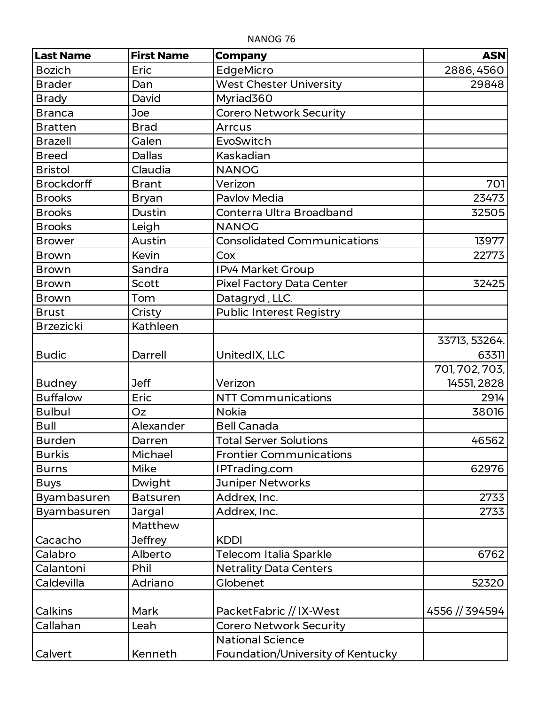| <b>Last Name</b>   | <b>First Name</b> | <b>Company</b>                     | <b>ASN</b>     |
|--------------------|-------------------|------------------------------------|----------------|
| <b>Bozich</b>      | Eric              | EdgeMicro                          | 2886, 4560     |
| <b>Brader</b>      | Dan               | <b>West Chester University</b>     | 29848          |
| <b>Brady</b>       | David             | Myriad360                          |                |
| <b>Branca</b>      | Joe               | <b>Corero Network Security</b>     |                |
| <b>Bratten</b>     | <b>Brad</b>       | Arrcus                             |                |
| <b>Brazell</b>     | Galen             | EvoSwitch                          |                |
| <b>Breed</b>       | <b>Dallas</b>     | Kaskadian                          |                |
| <b>Bristol</b>     | Claudia           | <b>NANOG</b>                       |                |
| <b>Brockdorff</b>  | <b>Brant</b>      | Verizon                            | 701            |
| <b>Brooks</b>      | <b>Bryan</b>      | Pavlov Media                       | 23473          |
| <b>Brooks</b>      | Dustin            | Conterra Ultra Broadband           | 32505          |
| <b>Brooks</b>      | Leigh             | <b>NANOG</b>                       |                |
| <b>Brower</b>      | Austin            | <b>Consolidated Communications</b> | 13977          |
| <b>Brown</b>       | Kevin             | Cox                                | 22773          |
| <b>Brown</b>       | Sandra            | IPv4 Market Group                  |                |
| <b>Brown</b>       | Scott             | <b>Pixel Factory Data Center</b>   | 32425          |
| <b>Brown</b>       | Tom               | Datagryd, LLC.                     |                |
| <b>Brust</b>       | Cristy            | <b>Public Interest Registry</b>    |                |
| <b>Brzezicki</b>   | Kathleen          |                                    |                |
|                    |                   |                                    | 33713, 53264.  |
| <b>Budic</b>       | Darrell           | UnitedIX, LLC                      | 63311          |
|                    |                   |                                    | 701, 702, 703, |
| <b>Budney</b>      | <b>Jeff</b>       | Verizon                            | 14551, 2828    |
| <b>Buffalow</b>    | Eric              | <b>NTT Communications</b>          | 2914           |
| <b>Bulbul</b>      | Oz                | <b>Nokia</b>                       | 38016          |
| Bull               | Alexander         | <b>Bell Canada</b>                 |                |
| <b>Burden</b>      | Darren            | <b>Total Server Solutions</b>      | 46562          |
| <b>Burkis</b>      | Michael           | <b>Frontier Communications</b>     |                |
| <b>Burns</b>       | Mike              | IPTrading.com                      | 62976          |
| <b>Buys</b>        | Dwight            | <b>Juniper Networks</b>            |                |
| Byambasuren        | <b>Batsuren</b>   | Addrex, Inc.                       | 2733           |
| <b>Byambasuren</b> | Jargal            | Addrex, Inc.                       | 2733           |
|                    | Matthew           |                                    |                |
| Cacacho            | <b>Jeffrey</b>    | <b>KDDI</b>                        |                |
| Calabro            | Alberto           | Telecom Italia Sparkle             | 6762           |
| Calantoni          | Phil              | <b>Netrality Data Centers</b>      |                |
| Caldevilla         | Adriano           | Globenet                           | 52320          |
|                    |                   |                                    |                |
| Calkins            | Mark              | PacketFabric // IX-West            | 4556 // 394594 |
| Callahan           | Leah              | <b>Corero Network Security</b>     |                |
|                    |                   | <b>National Science</b>            |                |
| Calvert            | Kenneth           | Foundation/University of Kentucky  |                |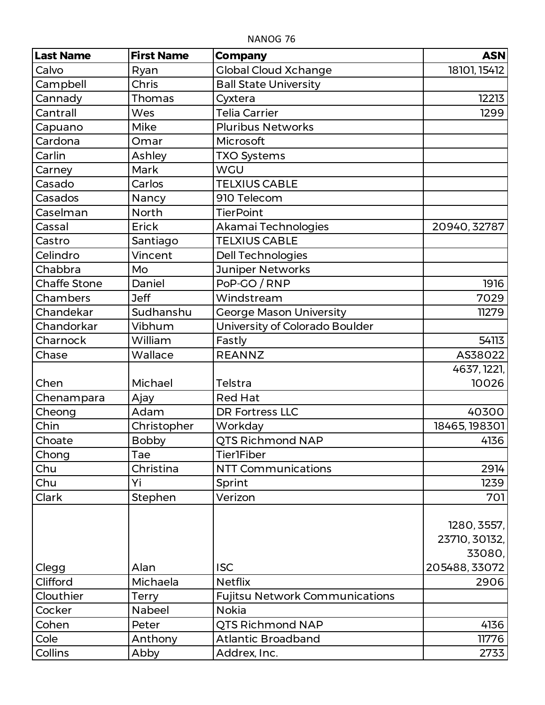| <b>Last Name</b>    | <b>First Name</b> | <b>Company</b>                        | <b>ASN</b>    |
|---------------------|-------------------|---------------------------------------|---------------|
| Calvo               | Ryan              | <b>Global Cloud Xchange</b>           | 18101, 15412  |
| Campbell            | Chris             | <b>Ball State University</b>          |               |
| Cannady             | Thomas            | Cyxtera                               | 12213         |
| Cantrall            | Wes               | <b>Telia Carrier</b>                  | 1299          |
| Capuano             | Mike              | <b>Pluribus Networks</b>              |               |
| Cardona             | Omar              | Microsoft                             |               |
| Carlin              | Ashley            | <b>TXO Systems</b>                    |               |
| Carney              | Mark              | <b>WGU</b>                            |               |
| Casado              | Carlos            | <b>TELXIUS CABLE</b>                  |               |
| Casados             | Nancy             | 910 Telecom                           |               |
| Caselman            | <b>North</b>      | <b>TierPoint</b>                      |               |
| Cassal              | Erick             | Akamai Technologies                   | 20940, 32787  |
| Castro              | Santiago          | <b>TELXIUS CABLE</b>                  |               |
| Celindro            | Vincent           | <b>Dell Technologies</b>              |               |
| Chabbra             | Mo                | Juniper Networks                      |               |
| <b>Chaffe Stone</b> | Daniel            | PoP-GO / RNP                          | 1916          |
| Chambers            | <b>Jeff</b>       | Windstream                            | 7029          |
| Chandekar           | Sudhanshu         | <b>George Mason University</b>        | 11279         |
| Chandorkar          | Vibhum            | University of Colorado Boulder        |               |
| Charnock            | William           | Fastly                                | 54113         |
| Chase               | Wallace           | <b>REANNZ</b>                         | AS38022       |
|                     |                   |                                       | 4637, 1221,   |
| Chen                | Michael           | Telstra                               | 10026         |
| Chenampara          | Ajay              | <b>Red Hat</b>                        |               |
| Cheong              | Adam              | <b>DR Fortress LLC</b>                | 40300         |
| Chin                | Christopher       | Workday                               | 18465, 198301 |
| Choate              | <b>Bobby</b>      | <b>QTS Richmond NAP</b>               | 4136          |
| Chong               | Tae               | <b>Tier1Fiber</b>                     |               |
| Chu                 | Christina         | <b>NTT Communications</b>             | 2914          |
| Chu                 | Yi                | Sprint                                | 1239          |
| Clark               | Stephen           | Verizon                               | 701           |
|                     |                   |                                       |               |
|                     |                   |                                       | 1280, 3557,   |
|                     |                   |                                       | 23710, 30132, |
|                     |                   |                                       | 33080,        |
| Clegg               | Alan              | <b>ISC</b>                            | 205488, 33072 |
| Clifford            | Michaela          | <b>Netflix</b>                        | 2906          |
| Clouthier           | <b>Terry</b>      | <b>Fujitsu Network Communications</b> |               |
| Cocker              | Nabeel            | <b>Nokia</b>                          |               |
| Cohen               | Peter             | <b>QTS Richmond NAP</b>               | 4136          |
| Cole                | Anthony           | <b>Atlantic Broadband</b>             | 11776         |
| Collins             | Abby              | Addrex, Inc.                          | 2733          |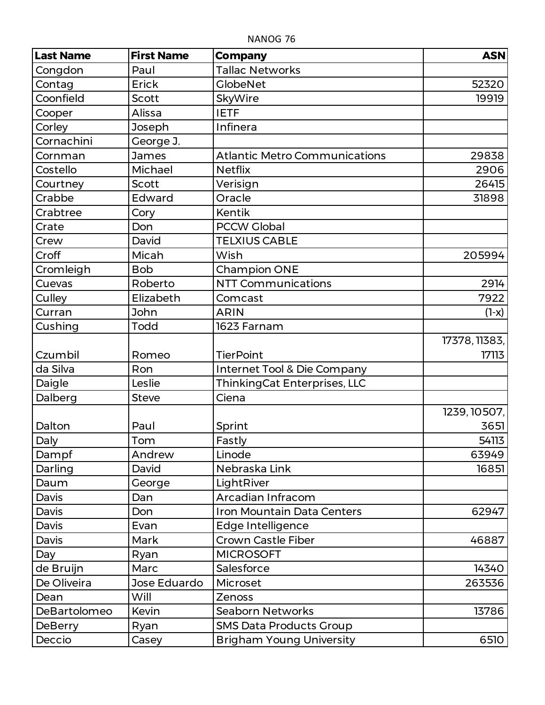| <b>Last Name</b> | <b>First Name</b> | <b>Company</b>                         | <b>ASN</b>    |
|------------------|-------------------|----------------------------------------|---------------|
| Congdon          | Paul              | <b>Tallac Networks</b>                 |               |
| Contag           | Erick             | <b>GlobeNet</b>                        | 52320         |
| Coonfield        | <b>Scott</b>      | SkyWire                                | 19919         |
| Cooper           | Alissa            | <b>IETF</b>                            |               |
| Corley           | Joseph            | Infinera                               |               |
| Cornachini       | George J.         |                                        |               |
| Cornman          | James             | <b>Atlantic Metro Communications</b>   | 29838         |
| Costello         | Michael           | <b>Netflix</b>                         | 2906          |
| Courtney         | Scott             | Verisign                               | 26415         |
| Crabbe           | Edward            | Oracle                                 | 31898         |
| Crabtree         | Cory              | <b>Kentik</b>                          |               |
| Crate            | Don               | <b>PCCW Global</b>                     |               |
| Crew             | David             | <b>TELXIUS CABLE</b>                   |               |
| Croff            | Micah             | Wish                                   | 205994        |
| Cromleigh        | <b>Bob</b>        | <b>Champion ONE</b>                    |               |
| Cuevas           | Roberto           | <b>NTT Communications</b>              | 2914          |
| Culley           | Elizabeth         | Comcast                                | 7922          |
| Curran           | John              | <b>ARIN</b>                            | $(1-x)$       |
| Cushing          | Todd              | 1623 Farnam                            |               |
|                  |                   |                                        | 17378, 11383, |
| Czumbil          | Romeo             | <b>TierPoint</b>                       | 17113         |
| da Silva         | Ron               | <b>Internet Tool &amp; Die Company</b> |               |
| Daigle           | Leslie            | ThinkingCat Enterprises, LLC           |               |
| Dalberg          | <b>Steve</b>      | Ciena                                  |               |
|                  |                   |                                        | 1239, 10507,  |
| Dalton           | Paul              | Sprint                                 | 3651          |
| Daly             | Tom               | Fastly                                 | 54113         |
| Dampf            | Andrew            | Linode                                 | 63949         |
| Darling          | David             | Nebraska Link                          | 16851         |
| Daum             | George            | LightRiver                             |               |
| Davis            | Dan               | Arcadian Infracom                      |               |
| Davis            | Don               | Iron Mountain Data Centers             | 62947         |
| Davis            | Evan              | Edge Intelligence                      |               |
| Davis            | Mark              | Crown Castle Fiber                     | 46887         |
| Day              | Ryan              | <b>MICROSOFT</b>                       |               |
| de Bruijn        | Marc              | Salesforce                             | 14340         |
| De Oliveira      | Jose Eduardo      | Microset                               | 263536        |
| Dean             | Will              | <b>Zenoss</b>                          |               |
| DeBartolomeo     | Kevin             | <b>Seaborn Networks</b>                | 13786         |
| <b>DeBerry</b>   | Ryan              | <b>SMS Data Products Group</b>         |               |
| Deccio           | Casey             | <b>Brigham Young University</b>        | 6510          |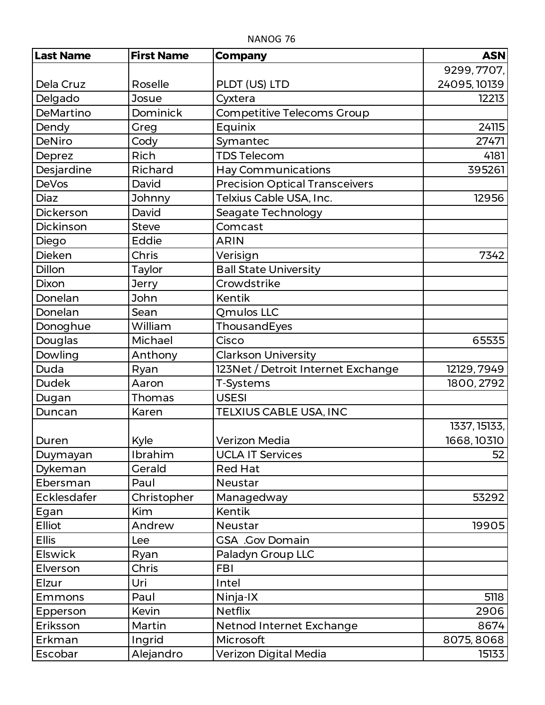| <b>Last Name</b>   | <b>First Name</b> | <b>Company</b>                        | <b>ASN</b>   |
|--------------------|-------------------|---------------------------------------|--------------|
|                    |                   |                                       | 9299, 7707,  |
| Dela Cruz          | Roselle           | PLDT (US) LTD                         | 24095, 10139 |
| Delgado            | Josue             | Cyxtera                               | 12213        |
| DeMartino          | Dominick          | Competitive Telecoms Group            |              |
| Dendy              | Greg              | Equinix                               | 24115        |
| <b>DeNiro</b>      | Cody              | Symantec                              | 27471        |
| Deprez             | Rich              | <b>TDS Telecom</b>                    | 4181         |
| Desjardine         | Richard           | <b>Hay Communications</b>             | 395261       |
| <b>DeVos</b>       | David             | <b>Precision Optical Transceivers</b> |              |
| <b>Diaz</b>        | Johnny            | Telxius Cable USA, Inc.               | 12956        |
| Dickerson          | David             | Seagate Technology                    |              |
| Dickinson          | <b>Steve</b>      | Comcast                               |              |
| Diego              | Eddie             | <b>ARIN</b>                           |              |
| <b>Dieken</b>      | Chris             | Verisign                              | 7342         |
| Dillon             | Taylor            | <b>Ball State University</b>          |              |
| <b>Dixon</b>       | <b>Jerry</b>      | Crowdstrike                           |              |
| Donelan            | John              | Kentik                                |              |
| Donelan            | Sean              | Qmulos LLC                            |              |
| Donoghue           | William           | ThousandEyes                          |              |
| Douglas            | Michael           | Cisco                                 | 65535        |
| Dowling            | Anthony           | <b>Clarkson University</b>            |              |
| Duda               | Ryan              | 123Net / Detroit Internet Exchange    | 12129, 7949  |
| <b>Dudek</b>       | Aaron             | T-Systems                             | 1800, 2792   |
| Dugan              | Thomas            | <b>USESI</b>                          |              |
| Duncan             | Karen             | TELXIUS CABLE USA, INC                |              |
|                    |                   |                                       | 1337, 15133, |
| Duren              | Kyle              | <b>Verizon Media</b>                  | 1668, 10310  |
| Duymayan           | Ibrahim           | <b>UCLA IT Services</b>               | 52           |
| Dykeman            | Gerald            | <b>Red Hat</b>                        |              |
| Ebersman           | Paul              | Neustar                               |              |
| <b>Ecklesdafer</b> | Christopher       | Managedway                            | 53292        |
| Egan               | <b>Kim</b>        | <b>Kentik</b>                         |              |
| <b>Elliot</b>      | Andrew            | Neustar                               | 19905        |
| <b>Ellis</b>       | Lee               | <b>GSA</b> .Gov Domain                |              |
| <b>Elswick</b>     | Ryan              | Paladyn Group LLC                     |              |
| Elverson           | Chris             | <b>FBI</b>                            |              |
| Elzur              | Uri               | Intel                                 |              |
| <b>Emmons</b>      | Paul              | Ninja-IX                              | 5118         |
| Epperson           | Kevin             | <b>Netflix</b>                        | 2906         |
| Eriksson           | Martin            | Netnod Internet Exchange              | 8674         |
| Erkman             | Ingrid            | Microsoft                             | 8075, 8068   |
| Escobar            | Alejandro         | Verizon Digital Media                 | 15133        |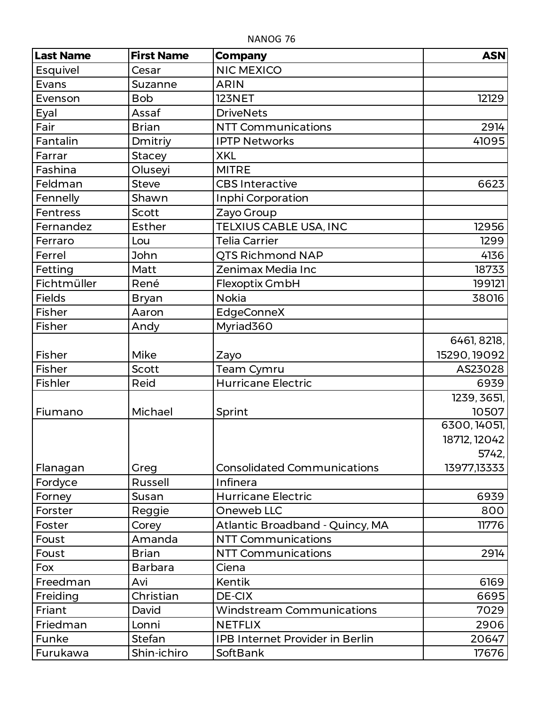| <b>Last Name</b> | <b>First Name</b> | <b>Company</b>                         | <b>ASN</b>   |
|------------------|-------------------|----------------------------------------|--------------|
| Esquivel         | Cesar             | <b>NIC MEXICO</b>                      |              |
| Evans            | Suzanne           | <b>ARIN</b>                            |              |
| Evenson          | <b>Bob</b>        | <b>123NET</b>                          | 12129        |
| Eyal             | Assaf             | <b>DriveNets</b>                       |              |
| Fair             | <b>Brian</b>      | <b>NTT Communications</b>              | 2914         |
| Fantalin         | Dmitriy           | <b>IPTP Networks</b>                   | 41095        |
| Farrar           | <b>Stacey</b>     | <b>XKL</b>                             |              |
| Fashina          | Oluseyi           | <b>MITRE</b>                           |              |
| Feldman          | <b>Steve</b>      | <b>CBS Interactive</b>                 | 6623         |
| Fennelly         | Shawn             | Inphi Corporation                      |              |
| Fentress         | <b>Scott</b>      | Zayo Group                             |              |
| Fernandez        | <b>Esther</b>     | TELXIUS CABLE USA, INC                 | 12956        |
| Ferraro          | Lou               | <b>Telia Carrier</b>                   | 1299         |
| Ferrel           | John              | QTS Richmond NAP                       | 4136         |
| Fetting          | Matt              | Zenimax Media Inc                      | 18733        |
| Fichtmüller      | René              | Flexoptix GmbH                         | 199121       |
| <b>Fields</b>    | Bryan             | <b>Nokia</b>                           | 38016        |
| Fisher           | Aaron             | EdgeConneX                             |              |
| Fisher           | Andy              | Myriad360                              |              |
|                  |                   |                                        | 6461, 8218,  |
| Fisher           | Mike              | Zayo                                   | 15290, 19092 |
| <b>Fisher</b>    | Scott             | Team Cymru                             | AS23028      |
| <b>Fishler</b>   | Reid              | <b>Hurricane Electric</b>              | 6939         |
|                  |                   |                                        | 1239, 3651,  |
| Fiumano          | Michael           | Sprint                                 | 10507        |
|                  |                   |                                        | 6300, 14051, |
|                  |                   |                                        | 18712, 12042 |
|                  |                   |                                        | 5742,        |
| Flanagan         | Greg              | <b>Consolidated Communications</b>     | 13977,13333  |
| Fordyce          | <b>Russell</b>    | Infinera                               |              |
| Forney           | Susan             | <b>Hurricane Electric</b>              | 6939         |
| Forster          | Reggie            | Oneweb LLC                             | 800          |
| Foster           | Corey             | Atlantic Broadband - Quincy, MA        | 11776        |
| Foust            | Amanda            | <b>NTT Communications</b>              |              |
| Foust            | <b>Brian</b>      | <b>NTT Communications</b>              | 2914         |
| Fox              | <b>Barbara</b>    | Ciena                                  |              |
| Freedman         | Avi               | Kentik                                 | 6169         |
| Freiding         | Christian         | DE-CIX                                 | 6695         |
| Friant           | David             | <b>Windstream Communications</b>       | 7029         |
| Friedman         | Lonni             | <b>NETFLIX</b>                         | 2906         |
| Funke            | Stefan            | <b>IPB Internet Provider in Berlin</b> | 20647        |
| Furukawa         | Shin-ichiro       | <b>SoftBank</b>                        | 17676        |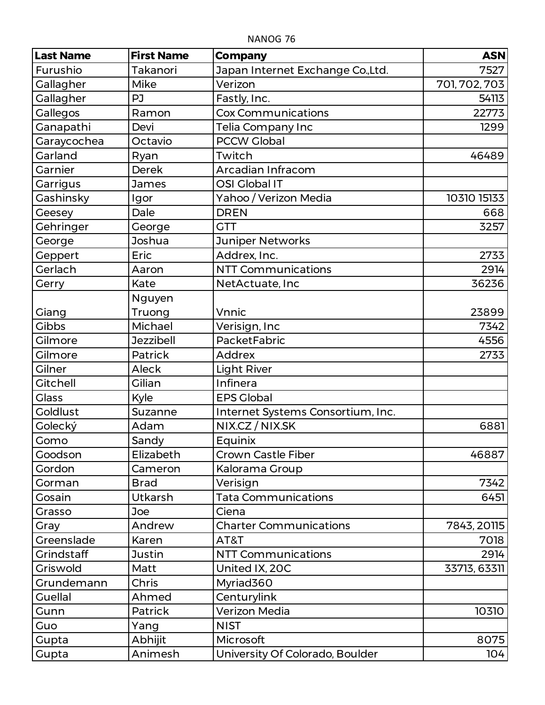| <b>Last Name</b> | <b>First Name</b> | <b>Company</b>                    | <b>ASN</b>    |
|------------------|-------------------|-----------------------------------|---------------|
| Furushio         | Takanori          | Japan Internet Exchange Co.,Ltd.  | 7527          |
| Gallagher        | Mike              | Verizon                           | 701, 702, 703 |
| Gallagher        | PJ                | Fastly, Inc.                      | 54113         |
| Gallegos         | Ramon             | <b>Cox Communications</b>         | 22773         |
| Ganapathi        | Devi              | Telia Company Inc                 | 1299          |
| Garaycochea      | Octavio           | <b>PCCW Global</b>                |               |
| Garland          | Ryan              | Twitch                            | 46489         |
| Garnier          | <b>Derek</b>      | Arcadian Infracom                 |               |
| Garrigus         | <b>James</b>      | OSI Global IT                     |               |
| Gashinsky        | Igor              | Yahoo / Verizon Media             | 10310 15133   |
| Geesey           | Dale              | <b>DREN</b>                       | 668           |
| Gehringer        | George            | <b>GTT</b>                        | 3257          |
| George           | Joshua            | <b>Juniper Networks</b>           |               |
| Geppert          | Eric              | Addrex, Inc.                      | 2733          |
| Gerlach          | Aaron             | <b>NTT Communications</b>         | 2914          |
| Gerry            | Kate              | NetActuate, Inc                   | 36236         |
|                  | Nguyen            |                                   |               |
| Giang            | Truong            | Vnnic                             | 23899         |
| <b>Gibbs</b>     | Michael           | Verisign, Inc                     | 7342          |
| Gilmore          | <b>Jezzibell</b>  | PacketFabric                      | 4556          |
| Gilmore          | Patrick           | <b>Addrex</b>                     | 2733          |
| Gilner           | Aleck             | <b>Light River</b>                |               |
| <b>Gitchell</b>  | Gilian            | Infinera                          |               |
| <b>Glass</b>     | Kyle              | <b>EPS Global</b>                 |               |
| <b>Goldlust</b>  | Suzanne           | Internet Systems Consortium, Inc. |               |
| Golecký          | Adam              | NIX.CZ / NIX.SK                   | 6881          |
| Gomo             | Sandy             | Equinix                           |               |
| Goodson          | Elizabeth         | <b>Crown Castle Fiber</b>         | 46887         |
| Gordon           | Cameron           | Kalorama Group                    |               |
| Gorman           | <b>Brad</b>       | Verisign                          | 7342          |
| Gosain           | Utkarsh           | <b>Tata Communications</b>        | 6451          |
| Grasso           | Joe               | Ciena                             |               |
| Gray             | Andrew            | <b>Charter Communications</b>     | 7843, 20115   |
| Greenslade       | Karen             | AT&T                              | 7018          |
| Grindstaff       | <b>Justin</b>     | <b>NTT Communications</b>         | 2914          |
| Griswold         | Matt              | United IX, 20C                    | 33713, 63311  |
| Grundemann       | Chris             | Myriad360                         |               |
| <b>Guellal</b>   | Ahmed             | Centurylink                       |               |
| Gunn             | Patrick           | Verizon Media                     | 10310         |
| Guo              | Yang              | <b>NIST</b>                       |               |
| Gupta            | Abhijit           | Microsoft                         | 8075          |
| Gupta            | Animesh           | University Of Colorado, Boulder   | 104           |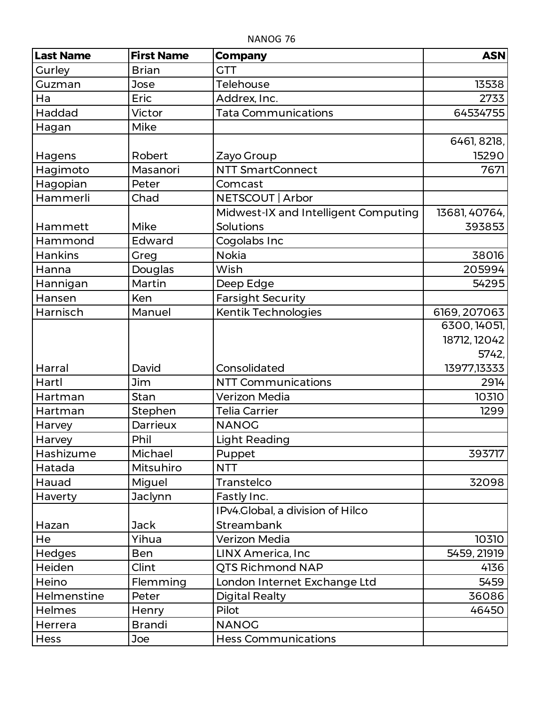| <b>Last Name</b> | <b>First Name</b> | <b>Company</b>                       | <b>ASN</b>    |
|------------------|-------------------|--------------------------------------|---------------|
| Gurley           | <b>Brian</b>      | <b>GTT</b>                           |               |
| Guzman           | Jose              | Telehouse                            | 13538         |
| Ha               | Eric              | Addrex, Inc.                         | 2733          |
| <b>Haddad</b>    | Victor            | <b>Tata Communications</b>           | 64534755      |
| Hagan            | Mike              |                                      |               |
|                  |                   |                                      | 6461, 8218,   |
| Hagens           | Robert            | Zayo Group                           | 15290         |
| Hagimoto         | Masanori          | <b>NTT SmartConnect</b>              | 7671          |
| Hagopian         | Peter             | Comcast                              |               |
| Hammerli         | Chad              | NETSCOUT   Arbor                     |               |
|                  |                   | Midwest-IX and Intelligent Computing | 13681, 40764, |
| Hammett          | Mike              | <b>Solutions</b>                     | 393853        |
| Hammond          | Edward            | Cogolabs Inc                         |               |
| <b>Hankins</b>   | Greg              | <b>Nokia</b>                         | 38016         |
| Hanna            | Douglas           | Wish                                 | 205994        |
| Hannigan         | Martin            | Deep Edge                            | 54295         |
| Hansen           | <b>Ken</b>        | <b>Farsight Security</b>             |               |
| Harnisch         | Manuel            | Kentik Technologies                  | 6169, 207063  |
|                  |                   |                                      | 6300, 14051,  |
|                  |                   |                                      | 18712, 12042  |
|                  |                   |                                      | 5742,         |
| Harral           | David             | Consolidated                         | 13977,13333   |
| Hartl            | <b>Jim</b>        | <b>NTT Communications</b>            | 2914          |
| Hartman          | Stan              | <b>Verizon Media</b>                 | 10310         |
| Hartman          | Stephen           | <b>Telia Carrier</b>                 | 1299          |
| Harvey           | Darrieux          | <b>NANOG</b>                         |               |
| Harvey           | Phil              | Light Reading                        |               |
| Hashizume        | Michael           | Puppet                               | 393717        |
| Hatada           | Mitsuhiro         | <b>NTT</b>                           |               |
| Hauad            | Miguel            | Transtelco                           | 32098         |
| Haverty          | Jaclynn           | Fastly Inc.                          |               |
|                  |                   | IPv4.Global, a division of Hilco     |               |
| Hazan            | <b>Jack</b>       | Streambank                           |               |
| He               | Yihua             | Verizon Media                        | 10310         |
| Hedges           | <b>Ben</b>        | <b>LINX America, Inc</b>             | 5459, 21919   |
| Heiden           | Clint             | QTS Richmond NAP                     | 4136          |
| Heino            | Flemming          | London Internet Exchange Ltd         | 5459          |
| Helmenstine      | Peter             | <b>Digital Realty</b>                | 36086         |
| Helmes           | Henry             | Pilot                                | 46450         |
| Herrera          | <b>Brandi</b>     | <b>NANOG</b>                         |               |
| Hess             | Joe               | <b>Hess Communications</b>           |               |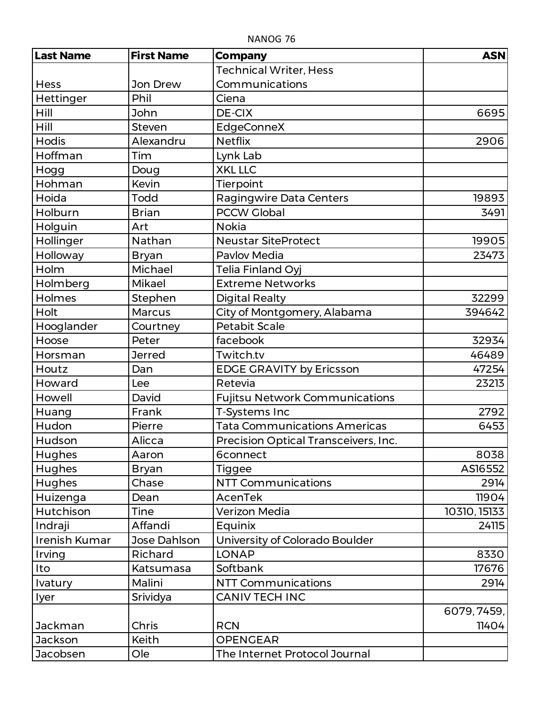| <b>Last Name</b> | <b>First Name</b> | <b>Company</b>                        | <b>ASN</b>   |
|------------------|-------------------|---------------------------------------|--------------|
|                  |                   | <b>Technical Writer, Hess</b>         |              |
| <b>Hess</b>      | Jon Drew          | Communications                        |              |
| Hettinger        | Phil              | Ciena                                 |              |
| Hill             | John              | <b>DE-CIX</b>                         | 6695         |
| Hill             | <b>Steven</b>     | EdgeConneX                            |              |
| <b>Hodis</b>     | Alexandru         | <b>Netflix</b>                        | 2906         |
| Hoffman          | Tim               | Lynk Lab                              |              |
| Hogg             | Doug              | <b>XKL LLC</b>                        |              |
| Hohman           | Kevin             | Tierpoint                             |              |
| Hoida            | Todd              | Ragingwire Data Centers               | 19893        |
| Holburn          | <b>Brian</b>      | <b>PCCW Global</b>                    | 3491         |
| Holguin          | Art               | <b>Nokia</b>                          |              |
| Hollinger        | Nathan            | <b>Neustar SiteProtect</b>            | 19905        |
| Holloway         | <b>Bryan</b>      | <b>Pavlov Media</b>                   | 23473        |
| Holm             | Michael           | Telia Finland Oyj                     |              |
| Holmberg         | Mikael            | <b>Extreme Networks</b>               |              |
| Holmes           | Stephen           | Digital Realty                        | 32299        |
| Holt             | <b>Marcus</b>     | City of Montgomery, Alabama           | 394642       |
| Hooglander       | Courtney          | <b>Petabit Scale</b>                  |              |
| Hoose            | Peter             | facebook                              | 32934        |
| Horsman          | <b>Jerred</b>     | Twitch.tv                             | 46489        |
| Houtz            | Dan               | <b>EDGE GRAVITY by Ericsson</b>       | 47254        |
| Howard           | Lee               | Retevia                               | 23213        |
| Howell           | David             | <b>Fujitsu Network Communications</b> |              |
| Huang            | Frank             | T-Systems Inc                         | 2792         |
| Hudon            | Pierre            | <b>Tata Communications Americas</b>   | 6453         |
| Hudson           | Alicca            | Precision Optical Transceivers, Inc.  |              |
| Hughes           | Aaron             | 6connect                              | 8038         |
| Hughes           | Bryan             | Tiggee                                | AS16552      |
| Hughes           | Chase             | <b>NTT Communications</b>             | 2914         |
| Huizenga         | Dean              | <b>AcenTek</b>                        | 11904        |
| Hutchison        | Tine              | Verizon Media                         | 10310, 15133 |
| Indraji          | Affandi           | Equinix                               | 24115        |
| Irenish Kumar    | Jose Dahlson      | University of Colorado Boulder        |              |
| Irving           | Richard           | <b>LONAP</b>                          | 8330         |
| Ito              | Katsumasa         | Softbank                              | 17676        |
| Ivatury          | Malini            | <b>NTT Communications</b>             | 2914         |
| <b>Iyer</b>      | Srividya          | <b>CANIV TECH INC</b>                 |              |
|                  |                   |                                       | 6079, 7459,  |
| Jackman          | Chris             | <b>RCN</b>                            | 11404        |
| Jackson          | Keith             | <b>OPENGEAR</b>                       |              |
| Jacobsen         | Ole               | The Internet Protocol Journal         |              |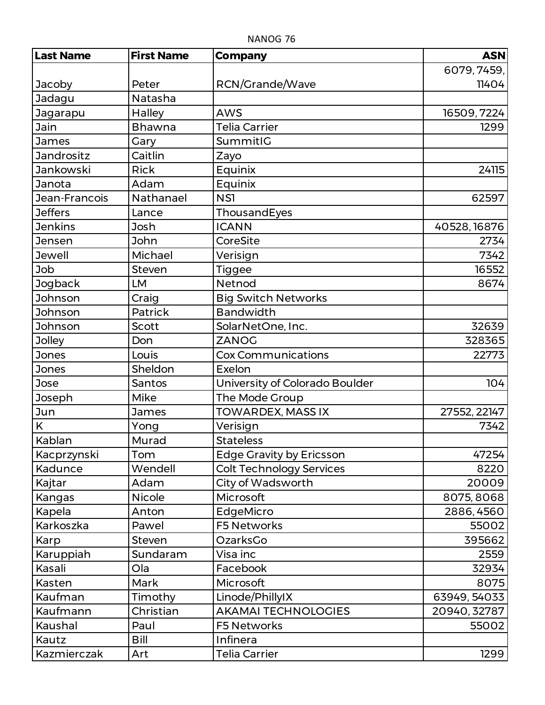| <b>Last Name</b>  | <b>First Name</b> | <b>Company</b>                  | <b>ASN</b>   |
|-------------------|-------------------|---------------------------------|--------------|
|                   |                   |                                 | 6079, 7459,  |
| Jacoby            | Peter             | RCN/Grande/Wave                 | 11404        |
| Jadagu            | Natasha           |                                 |              |
| Jagarapu          | <b>Halley</b>     | <b>AWS</b>                      | 16509, 7224  |
| Jain              | <b>Bhawna</b>     | <b>Telia Carrier</b>            | 1299         |
| <b>James</b>      | Gary              | SummitIG                        |              |
| <b>Jandrositz</b> | Caitlin           | Zayo                            |              |
| Jankowski         | <b>Rick</b>       | Equinix                         | 24115        |
| Janota            | Adam              | Equinix                         |              |
| Jean-Francois     | Nathanael         | NS1                             | 62597        |
| <b>Jeffers</b>    | Lance             | ThousandEyes                    |              |
| <b>Jenkins</b>    | Josh              | <b>ICANN</b>                    | 40528, 16876 |
| Jensen            | John              | CoreSite                        | 2734         |
| <b>Jewell</b>     | Michael           | Verisign                        | 7342         |
| Job               | <b>Steven</b>     | <b>Tiggee</b>                   | 16552        |
| Jogback           | LM                | Netnod                          | 8674         |
| Johnson           | Craig             | <b>Big Switch Networks</b>      |              |
| Johnson           | <b>Patrick</b>    | <b>Bandwidth</b>                |              |
| Johnson           | <b>Scott</b>      | SolarNetOne, Inc.               | 32639        |
| <b>Jolley</b>     | Don               | <b>ZANOG</b>                    | 328365       |
| <b>Jones</b>      | Louis             | <b>Cox Communications</b>       | 22773        |
| <b>Jones</b>      | Sheldon           | Exelon                          |              |
| Jose              | Santos            | University of Colorado Boulder  | 104          |
| Joseph            | Mike              | The Mode Group                  |              |
| Jun               | <b>James</b>      | TOWARDEX, MASS IX               | 27552, 22147 |
| K                 | Yong              | Verisign                        | 7342         |
| Kablan            | Murad             | <b>Stateless</b>                |              |
| Kacprzynski       | Tom               | <b>Edge Gravity by Ericsson</b> | 47254        |
| Kadunce           | Wendell           | <b>Colt Technology Services</b> | 8220         |
| Kajtar            | Adam              | City of Wadsworth               | 20009        |
| Kangas            | <b>Nicole</b>     | Microsoft                       | 8075, 8068   |
| Kapela            | Anton             | EdgeMicro                       | 2886, 4560   |
| Karkoszka         | Pawel             | <b>F5 Networks</b>              | 55002        |
| Karp              | <b>Steven</b>     | OzarksGo                        | 395662       |
| Karuppiah         | Sundaram          | Visa inc                        | 2559         |
| Kasali            | Ola               | Facebook                        | 32934        |
| Kasten            | Mark              | Microsoft                       | 8075         |
| Kaufman           | Timothy           | Linode/PhillyIX                 | 63949, 54033 |
| Kaufmann          | Christian         | <b>AKAMAI TECHNOLOGIES</b>      | 20940, 32787 |
| Kaushal           | Paul              | <b>F5 Networks</b>              | 55002        |
| Kautz             | Bill              | Infinera                        |              |
| Kazmierczak       | Art               | <b>Telia Carrier</b>            | 1299         |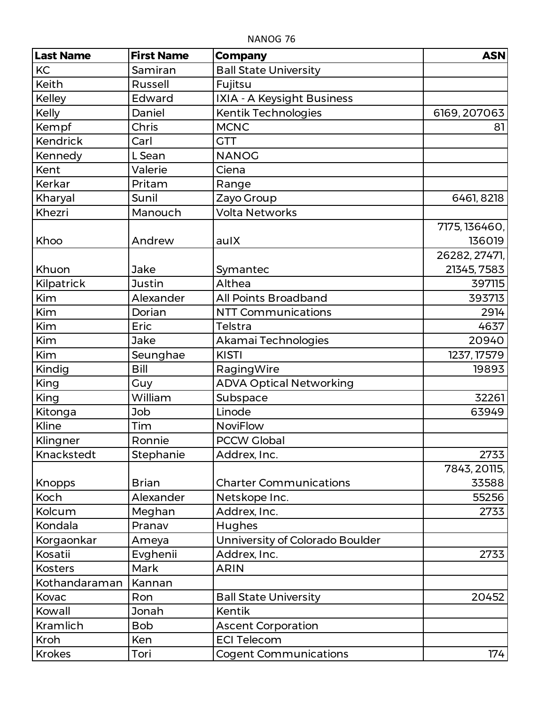| <b>Last Name</b> | <b>First Name</b> | <b>Company</b>                  | <b>ASN</b>    |
|------------------|-------------------|---------------------------------|---------------|
| KC               | Samiran           | <b>Ball State University</b>    |               |
| <b>Keith</b>     | Russell           | Fujitsu                         |               |
| Kelley           | Edward            | IXIA - A Keysight Business      |               |
| Kelly            | Daniel            | Kentik Technologies             | 6169, 207063  |
| Kempf            | Chris             | <b>MCNC</b>                     | 81            |
| <b>Kendrick</b>  | Carl              | <b>GTT</b>                      |               |
| Kennedy          | L Sean            | <b>NANOG</b>                    |               |
| Kent             | Valerie           | Ciena                           |               |
| Kerkar           | Pritam            | Range                           |               |
| Kharyal          | Sunil             | Zayo Group                      | 6461, 8218    |
| Khezri           | Manouch           | <b>Volta Networks</b>           |               |
|                  |                   |                                 | 7175, 136460, |
| Khoo             | Andrew            | aulX                            | 136019        |
|                  |                   |                                 | 26282, 27471, |
| Khuon            | Jake              | Symantec                        | 21345, 7583   |
| Kilpatrick       | <b>Justin</b>     | Althea                          | 397115        |
| Kim              | Alexander         | <b>All Points Broadband</b>     | 393713        |
| Kim              | Dorian            | <b>NTT Communications</b>       | 2914          |
| Kim              | Eric              | Telstra                         | 4637          |
| Kim              | Jake              | Akamai Technologies             | 20940         |
| Kim              | Seunghae          | <b>KISTI</b>                    | 1237, 17579   |
| Kindig           | Bill              | RagingWire                      | 19893         |
| King             | Guy               | <b>ADVA Optical Networking</b>  |               |
| King             | William           | Subspace                        | 32261         |
| Kitonga          | Job               | Linode                          | 63949         |
| Kline            | Tim               | <b>NoviFlow</b>                 |               |
| Klingner         | Ronnie            | <b>PCCW Global</b>              |               |
| Knackstedt       | Stephanie         | Addrex, Inc.                    | 2733          |
|                  |                   |                                 | 7843, 20115,  |
| <b>Knopps</b>    | <b>Brian</b>      | <b>Charter Communications</b>   | 33588         |
| Koch             | Alexander         | Netskope Inc.                   | 55256         |
| Kolcum           | Meghan            | Addrex, Inc.                    | 2733          |
| Kondala          | Pranav            | Hughes                          |               |
| Korgaonkar       | Ameya             | Unniversity of Colorado Boulder |               |
| Kosatii          | Evghenii          | Addrex, Inc.                    | 2733          |
| <b>Kosters</b>   | Mark              | <b>ARIN</b>                     |               |
| Kothandaraman    | Kannan            |                                 |               |
| Kovac            | Ron               | <b>Ball State University</b>    | 20452         |
| Kowall           | Jonah             | <b>Kentik</b>                   |               |
| Kramlich         | <b>Bob</b>        | <b>Ascent Corporation</b>       |               |
| Kroh             | Ken               | <b>ECI Telecom</b>              |               |
| <b>Krokes</b>    | Tori              | <b>Cogent Communications</b>    | 174           |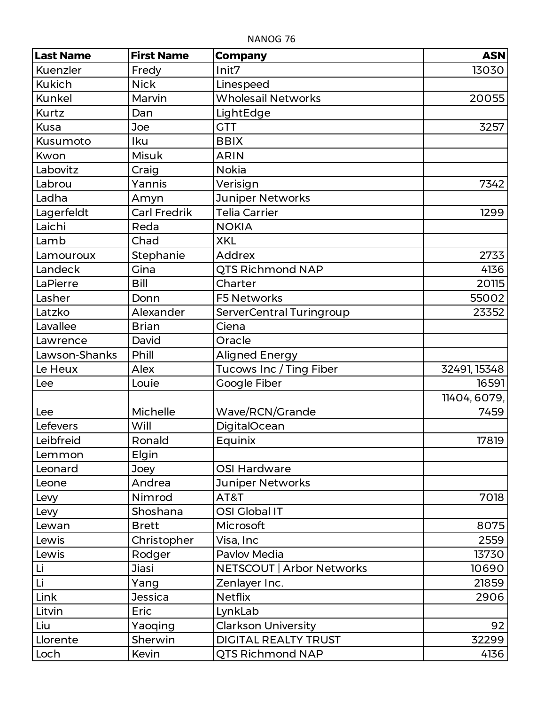| <b>Last Name</b> | <b>First Name</b>   | <b>Company</b>              | <b>ASN</b>   |
|------------------|---------------------|-----------------------------|--------------|
| Kuenzler         | Fredy               | Init7                       | 13030        |
| <b>Kukich</b>    | <b>Nick</b>         | Linespeed                   |              |
| <b>Kunkel</b>    | Marvin              | <b>Wholesail Networks</b>   | 20055        |
| Kurtz            | Dan                 | LightEdge                   |              |
| <b>Kusa</b>      | Joe                 | <b>GTT</b>                  | 3257         |
| Kusumoto         | Iku                 | <b>BBIX</b>                 |              |
| Kwon             | <b>Misuk</b>        | <b>ARIN</b>                 |              |
| Labovitz         | Craig               | <b>Nokia</b>                |              |
| Labrou           | Yannis              | Verisign                    | 7342         |
| Ladha            | Amyn                | <b>Juniper Networks</b>     |              |
| Lagerfeldt       | <b>Carl Fredrik</b> | <b>Telia Carrier</b>        | 1299         |
| Laichi           | Reda                | <b>NOKIA</b>                |              |
| Lamb             | Chad                | <b>XKL</b>                  |              |
| Lamouroux        | Stephanie           | <b>Addrex</b>               | 2733         |
| Landeck          | Gina                | QTS Richmond NAP            | 4136         |
| LaPierre         | Bill                | Charter                     | 20115        |
| Lasher           | Donn                | <b>F5 Networks</b>          | 55002        |
| Latzko           | Alexander           | ServerCentral Turingroup    | 23352        |
| Lavallee         | <b>Brian</b>        | Ciena                       |              |
| Lawrence         | David               | Oracle                      |              |
| Lawson-Shanks    | Phill               | <b>Aligned Energy</b>       |              |
| Le Heux          | Alex                | Tucows Inc / Ting Fiber     | 32491, 15348 |
| Lee              | Louie               | Google Fiber                | 16591        |
|                  |                     |                             | 11404, 6079, |
| Lee              | Michelle            | Wave/RCN/Grande             | 7459         |
| Lefevers         | Will                | <b>DigitalOcean</b>         |              |
| Leibfreid        | Ronald              | Equinix                     | 17819        |
| Lemmon           | Elgin               |                             |              |
| Leonard          | Joey                | <b>OSI Hardware</b>         |              |
| Leone            | Andrea              | <b>Juniper Networks</b>     |              |
| Levy             | Nimrod              | AT&T                        | 7018         |
| Levy             | Shoshana            | OSI Global IT               |              |
| Lewan            | <b>Brett</b>        | Microsoft                   | 8075         |
| Lewis            | Christopher         | Visa, Inc                   | 2559         |
| Lewis            | Rodger              | Pavlov Media                | 13730        |
| Li               | Jiasi               | NETSCOUT   Arbor Networks   | 10690        |
| Li               | Yang                | Zenlayer Inc.               | 21859        |
| Link             | <b>Jessica</b>      | <b>Netflix</b>              | 2906         |
| Litvin           | Eric                | LynkLab                     |              |
| Liu              | Yaoqing             | <b>Clarkson University</b>  | 92           |
| Llorente         | Sherwin             | <b>DIGITAL REALTY TRUST</b> | 32299        |
| Loch             | Kevin               | <b>QTS Richmond NAP</b>     | 4136         |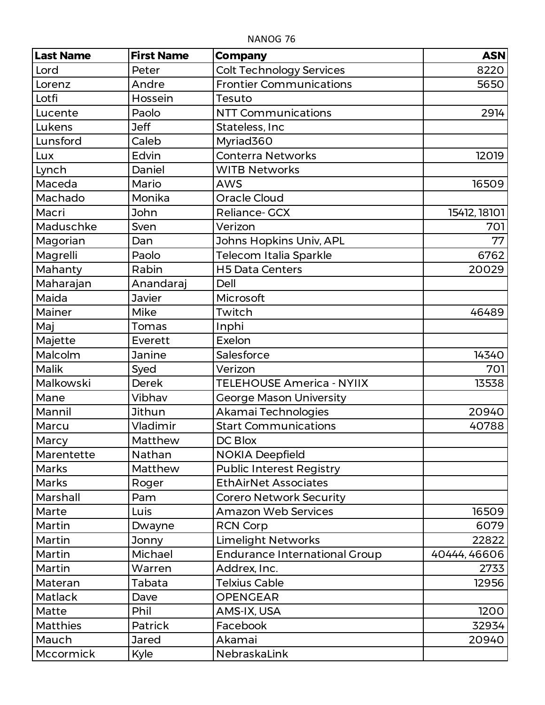| <b>Last Name</b> | <b>First Name</b> | <b>Company</b>                       | <b>ASN</b>   |
|------------------|-------------------|--------------------------------------|--------------|
| Lord             | Peter             | <b>Colt Technology Services</b>      | 8220         |
| Lorenz           | Andre             | <b>Frontier Communications</b>       | 5650         |
| Lotfi            | Hossein           | Tesuto                               |              |
| Lucente          | Paolo             | <b>NTT Communications</b>            | 2914         |
| Lukens           | <b>Jeff</b>       | Stateless, Inc                       |              |
| Lunsford         | Caleb             | Myriad360                            |              |
| Lux              | Edvin             | <b>Conterra Networks</b>             | 12019        |
| Lynch            | Daniel            | <b>WITB Networks</b>                 |              |
| Maceda           | Mario             | <b>AWS</b>                           | 16509        |
| Machado          | Monika            | <b>Oracle Cloud</b>                  |              |
| Macri            | John              | <b>Reliance- GCX</b>                 | 15412, 18101 |
| Maduschke        | Sven              | Verizon                              | 701          |
| Magorian         | Dan               | <b>Johns Hopkins Univ, APL</b>       | 77           |
| Magrelli         | Paolo             | Telecom Italia Sparkle               | 6762         |
| Mahanty          | Rabin             | <b>H5 Data Centers</b>               | 20029        |
| Maharajan        | Anandaraj         | Dell                                 |              |
| Maida            | <b>Javier</b>     | Microsoft                            |              |
| Mainer           | Mike              | Twitch                               | 46489        |
| Maj              | Tomas             | Inphi                                |              |
| Majette          | Everett           | Exelon                               |              |
| Malcolm          | Janine            | Salesforce                           | 14340        |
| Malik            | Syed              | Verizon                              | 701          |
| Malkowski        | <b>Derek</b>      | <b>TELEHOUSE America - NYIIX</b>     | 13538        |
| Mane             | Vibhav            | <b>George Mason University</b>       |              |
| Mannil           | <b>Jithun</b>     | Akamai Technologies                  | 20940        |
| Marcu            | Vladimir          | <b>Start Communications</b>          | 40788        |
| Marcy            | Matthew           | DC Blox                              |              |
| Marentette       | Nathan            | <b>NOKIA Deepfield</b>               |              |
| Marks            | Matthew           | <b>Public Interest Registry</b>      |              |
| <b>Marks</b>     | Roger             | <b>EthAirNet Associates</b>          |              |
| Marshall         | Pam               | <b>Corero Network Security</b>       |              |
| Marte            | Luis              | <b>Amazon Web Services</b>           | 16509        |
| Martin           | Dwayne            | <b>RCN Corp</b>                      | 6079         |
| Martin           | Jonny             | <b>Limelight Networks</b>            | 22822        |
| Martin           | Michael           | <b>Endurance International Group</b> | 40444, 46606 |
| Martin           | Warren            | Addrex, Inc.                         | 2733         |
| Materan          | Tabata            | <b>Telxius Cable</b>                 | 12956        |
| Matlack          | Dave              | <b>OPENGEAR</b>                      |              |
| Matte            | Phil              | AMS-IX, USA                          | 1200         |
| <b>Matthies</b>  | <b>Patrick</b>    | Facebook                             | 32934        |
| Mauch            | <b>Jared</b>      | Akamai                               | 20940        |
| Mccormick        | Kyle              | NebraskaLink                         |              |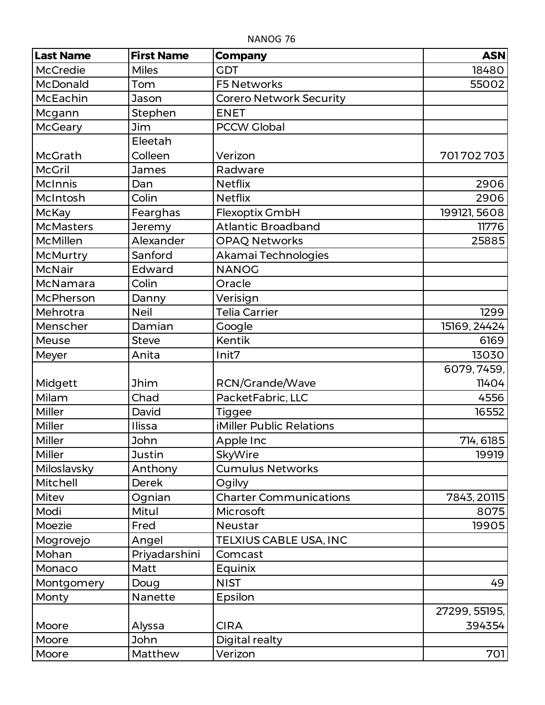| <b>Last Name</b> | <b>First Name</b> | <b>Company</b>                 | <b>ASN</b>    |
|------------------|-------------------|--------------------------------|---------------|
| <b>McCredie</b>  | <b>Miles</b>      | <b>GDT</b>                     | 18480         |
| <b>McDonald</b>  | Tom               | <b>F5 Networks</b>             | 55002         |
| McEachin         | Jason             | <b>Corero Network Security</b> |               |
| Mcgann           | Stephen           | <b>ENET</b>                    |               |
| <b>McGeary</b>   | Jim               | <b>PCCW Global</b>             |               |
|                  | Eleetah           |                                |               |
| McGrath          | Colleen           | Verizon                        | 701702703     |
| <b>McGril</b>    | <b>James</b>      | Radware                        |               |
| <b>McInnis</b>   | Dan               | <b>Netflix</b>                 | 2906          |
| McIntosh         | Colin             | <b>Netflix</b>                 | 2906          |
| <b>McKay</b>     | Fearghas          | Flexoptix GmbH                 | 199121, 5608  |
| <b>McMasters</b> | Jeremy            | <b>Atlantic Broadband</b>      | 11776         |
| McMillen         | Alexander         | <b>OPAQ Networks</b>           | 25885         |
| <b>McMurtry</b>  | Sanford           | Akamai Technologies            |               |
| McNair           | Edward            | <b>NANOG</b>                   |               |
| McNamara         | Colin             | Oracle                         |               |
| McPherson        | Danny             | Verisign                       |               |
| Mehrotra         | <b>Neil</b>       | <b>Telia Carrier</b>           | 1299          |
| Menscher         | Damian            | Google                         | 15169, 24424  |
| Meuse            | <b>Steve</b>      | <b>Kentik</b>                  | 6169          |
| Meyer            | Anita             | Init7                          | 13030         |
|                  |                   |                                | 6079, 7459,   |
| Midgett          | <b>Jhim</b>       | RCN/Grande/Wave                | 11404         |
| Milam            | Chad              | PacketFabric, LLC              | 4556          |
| Miller           | David             | Tiggee                         | 16552         |
| Miller           | Ilissa            | iMiller Public Relations       |               |
| Miller           | <b>John</b>       | Apple Inc                      | 714, 6185     |
| Miller           | <b>Justin</b>     | SkyWire                        | 19919         |
| Miloslavsky      | Anthony           | <b>Cumulus Networks</b>        |               |
| Mitchell         | <b>Derek</b>      | Ogilvy                         |               |
| Mitev            | Ognian            | <b>Charter Communications</b>  | 7843, 20115   |
| Modi             | Mitul             | Microsoft                      | 8075          |
| Moezie           | Fred              | <b>Neustar</b>                 | 19905         |
| Mogrovejo        | Angel             | TELXIUS CABLE USA, INC         |               |
| Mohan            | Priyadarshini     | Comcast                        |               |
| Monaco           | Matt              | Equinix                        |               |
| Montgomery       | Doug              | <b>NIST</b>                    | 49            |
| Monty            | Nanette           | Epsilon                        |               |
|                  |                   |                                | 27299, 55195, |
| Moore            | Alyssa            | <b>CIRA</b>                    | 394354        |
| Moore            | John              | Digital realty                 |               |
| Moore            | Matthew           | Verizon                        | 701           |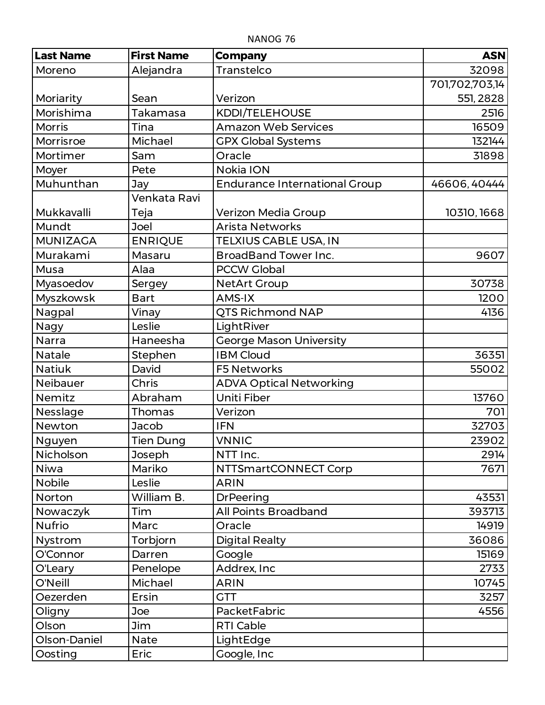| <b>Last Name</b> | <b>First Name</b> | <b>Company</b>                       | <b>ASN</b>     |
|------------------|-------------------|--------------------------------------|----------------|
| Moreno           | Alejandra         | Transtelco                           | 32098          |
|                  |                   |                                      | 701,702,703,14 |
| Moriarity        | Sean              | Verizon                              | 551, 2828      |
| Morishima        | Takamasa          | KDDI/TELEHOUSE                       | 2516           |
| <b>Morris</b>    | Tina              | <b>Amazon Web Services</b>           | 16509          |
| Morrisroe        | Michael           | <b>GPX Global Systems</b>            | 132144         |
| Mortimer         | Sam               | Oracle                               | 31898          |
| Moyer            | Pete              | Nokia ION                            |                |
| Muhunthan        | Jay               | <b>Endurance International Group</b> | 46606, 40444   |
|                  | Venkata Ravi      |                                      |                |
| Mukkavalli       | Teja              | Verizon Media Group                  | 10310, 1668    |
| Mundt            | <b>Joel</b>       | <b>Arista Networks</b>               |                |
| <b>MUNIZAGA</b>  | <b>ENRIQUE</b>    | TELXIUS CABLE USA, IN                |                |
| Murakami         | Masaru            | <b>BroadBand Tower Inc.</b>          | 9607           |
| Musa             | Alaa              | <b>PCCW Global</b>                   |                |
| Myasoedov        | Sergey            | <b>NetArt Group</b>                  | 30738          |
| <b>Myszkowsk</b> | <b>Bart</b>       | <b>AMS-IX</b>                        | 1200           |
| Nagpal           | Vinay             | <b>QTS Richmond NAP</b>              | 4136           |
| Nagy             | Leslie            | LightRiver                           |                |
| Narra            | Haneesha          | <b>George Mason University</b>       |                |
| <b>Natale</b>    | Stephen           | <b>IBM Cloud</b>                     | 36351          |
| <b>Natiuk</b>    | David             | <b>F5 Networks</b>                   | 55002          |
| Neibauer         | Chris             | <b>ADVA Optical Networking</b>       |                |
| Nemitz           | Abraham           | <b>Uniti Fiber</b>                   | 13760          |
| Nesslage         | Thomas            | Verizon                              | 701            |
| Newton           | Jacob             | <b>IFN</b>                           | 32703          |
| Nguyen           | <b>Tien Dung</b>  | <b>VNNIC</b>                         | 23902          |
| Nicholson        | Joseph            | NTT Inc.                             | 2914           |
| Niwa             | Mariko            | NTTSmartCONNECT Corp                 | 7671           |
| <b>Nobile</b>    | Leslie            | <b>ARIN</b>                          |                |
| Norton           | William B.        | <b>DrPeering</b>                     | 43531          |
| Nowaczyk         | Tim               | All Points Broadband                 | 393713         |
| <b>Nufrio</b>    | Marc              | Oracle                               | 14919          |
| Nystrom          | Torbjorn          | <b>Digital Realty</b>                | 36086          |
| O'Connor         | Darren            | Google                               | 15169          |
| O'Leary          | Penelope          | Addrex, Inc                          | 2733           |
| O'Neill          | Michael           | <b>ARIN</b>                          | 10745          |
| Oezerden         | Ersin             | <b>GTT</b>                           | 3257           |
| Oligny           | Joe               | PacketFabric                         | 4556           |
| Olson            | Jim               | <b>RTI Cable</b>                     |                |
| Olson-Daniel     | <b>Nate</b>       | LightEdge                            |                |
| Oosting          | Eric              | Google, Inc                          |                |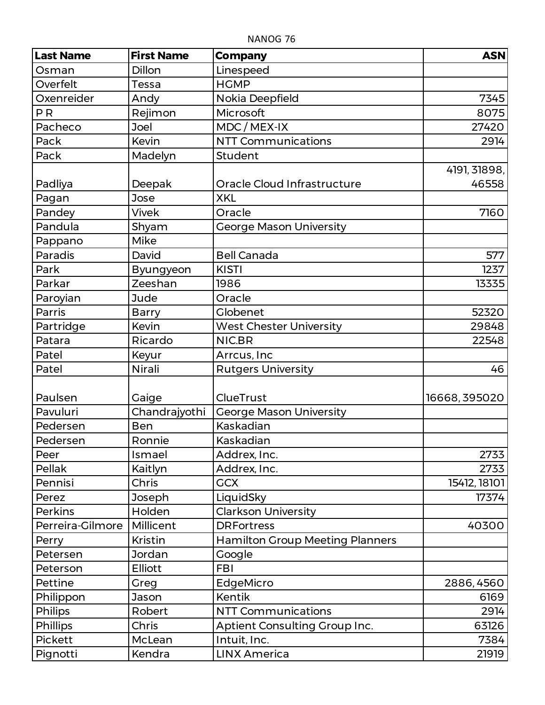| <b>Last Name</b> | <b>First Name</b> | <b>Company</b>                         | <b>ASN</b>    |
|------------------|-------------------|----------------------------------------|---------------|
| Osman            | <b>Dillon</b>     | Linespeed                              |               |
| Overfelt         | Tessa             | <b>HGMP</b>                            |               |
| Oxenreider       | Andy              | Nokia Deepfield                        | 7345          |
| <b>PR</b>        | Rejimon           | Microsoft                              | 8075          |
| Pacheco          | Joel              | MDC / MEX-IX                           | 27420         |
| Pack             | Kevin             | <b>NTT Communications</b>              | 2914          |
| Pack             | Madelyn           | Student                                |               |
|                  |                   |                                        | 4191, 31898,  |
| Padliya          | Deepak            | Oracle Cloud Infrastructure            | 46558         |
| Pagan            | Jose              | <b>XKL</b>                             |               |
| Pandey           | <b>Vivek</b>      | Oracle                                 | 7160          |
| Pandula          | Shyam             | <b>George Mason University</b>         |               |
| Pappano          | Mike              |                                        |               |
| Paradis          | David             | <b>Bell Canada</b>                     | 577           |
| Park             | Byungyeon         | <b>KISTI</b>                           | 1237          |
| Parkar           | Zeeshan           | 1986                                   | 13335         |
| Paroyian         | Jude              | Oracle                                 |               |
| Parris           | <b>Barry</b>      | Globenet                               | 52320         |
| Partridge        | Kevin             | <b>West Chester University</b>         | 29848         |
| Patara           | Ricardo           | NIC.BR                                 | 22548         |
| Patel            | Keyur             | Arrcus, Inc                            |               |
| Patel            | Nirali            | <b>Rutgers University</b>              | 46            |
|                  |                   |                                        |               |
| Paulsen          | Gaige             | <b>ClueTrust</b>                       | 16668, 395020 |
| Pavuluri         | Chandrajyothi     | <b>George Mason University</b>         |               |
| Pedersen         | <b>Ben</b>        | Kaskadian                              |               |
| Pedersen         | Ronnie            | Kaskadian                              |               |
| Peer             | Ismael            | Addrex, Inc.                           | 2733          |
| Pellak           | Kaitlyn           | Addrex, Inc.                           | 2733          |
| Pennisi          | Chris             | <b>GCX</b>                             | 15412, 18101  |
| Perez            | Joseph            | LiquidSky                              | 17374         |
| Perkins          | Holden            | <b>Clarkson University</b>             |               |
| Perreira-Gilmore | Millicent         | <b>DRFortress</b>                      | 40300         |
| Perry            | <b>Kristin</b>    | <b>Hamilton Group Meeting Planners</b> |               |
| Petersen         | Jordan            | Google                                 |               |
| Peterson         | Elliott           | <b>FBI</b>                             |               |
| Pettine          | Greg              | EdgeMicro                              | 2886, 4560    |
| Philippon        | Jason             | <b>Kentik</b>                          | 6169          |
| <b>Philips</b>   | Robert            | <b>NTT Communications</b>              | 2914          |
| Phillips         | Chris             | Aptient Consulting Group Inc.          | 63126         |
| Pickett          | McLean            | Intuit, Inc.                           | 7384          |
| Pignotti         | Kendra            | <b>LINX America</b>                    | 21919         |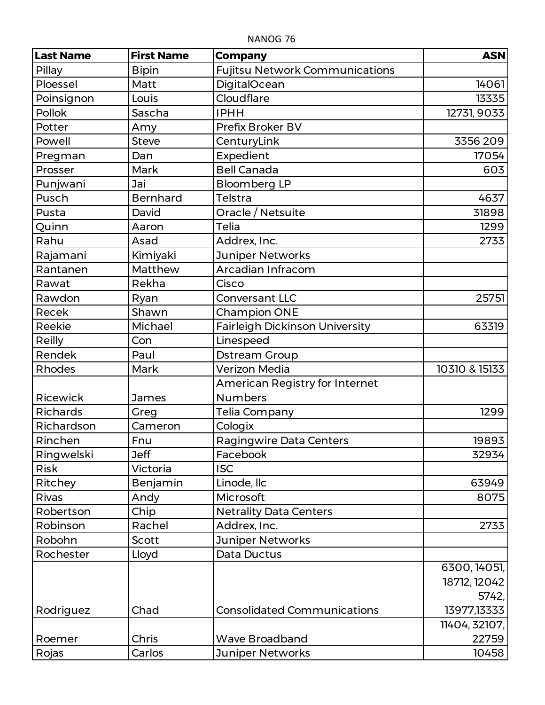| <b>Last Name</b> | <b>First Name</b> | <b>Company</b>                        | <b>ASN</b>    |
|------------------|-------------------|---------------------------------------|---------------|
| Pillay           | <b>Bipin</b>      | <b>Fujitsu Network Communications</b> |               |
| Ploessel         | Matt              | <b>DigitalOcean</b>                   | 14061         |
| Poinsignon       | Louis             | Cloudflare                            | 13335         |
| <b>Pollok</b>    | Sascha            | <b>IPHH</b>                           | 12731, 9033   |
| Potter           | Amy               | <b>Prefix Broker BV</b>               |               |
| Powell           | <b>Steve</b>      | CenturyLink                           | 3356 209      |
| Pregman          | Dan               | Expedient                             | 17054         |
| Prosser          | Mark              | <b>Bell Canada</b>                    | 603           |
| Punjwani         | Jai               | <b>Bloomberg LP</b>                   |               |
| Pusch            | <b>Bernhard</b>   | Telstra                               | 4637          |
| Pusta            | David             | Oracle / Netsuite                     | 31898         |
| Quinn            | Aaron             | <b>Telia</b>                          | 1299          |
| Rahu             | Asad              | Addrex, Inc.                          | 2733          |
| Rajamani         | Kimiyaki          | Juniper Networks                      |               |
| Rantanen         | Matthew           | Arcadian Infracom                     |               |
| Rawat            | Rekha             | Cisco                                 |               |
| Rawdon           | Ryan              | <b>Conversant LLC</b>                 | 25751         |
| Recek            | Shawn             | <b>Champion ONE</b>                   |               |
| Reekie           | Michael           | <b>Fairleigh Dickinson University</b> | 63319         |
| Reilly           | Con               | Linespeed                             |               |
| Rendek           | Paul              | <b>Dstream Group</b>                  |               |
| Rhodes           | Mark              | Verizon Media                         | 10310 & 15133 |
|                  |                   | American Registry for Internet        |               |
| Ricewick         | James             | <b>Numbers</b>                        |               |
| Richards         | Greg              | Telia Company                         | 1299          |
| Richardson       | Cameron           | Cologix                               |               |
| Rinchen          | Fnu               | <b>Ragingwire Data Centers</b>        | 19893         |
| Ringwelski       | <b>Jeff</b>       | Facebook                              | 32934         |
| <b>Risk</b>      | Victoria          | <b>ISC</b>                            |               |
| Ritchey          | Benjamin          | Linode, Ilc                           | 63949         |
| Rivas            | Andy              | Microsoft                             | 8075          |
| Robertson        | Chip              | <b>Netrality Data Centers</b>         |               |
| Robinson         | Rachel            | Addrex, Inc.                          | 2733          |
| Robohn           | Scott             | Juniper Networks                      |               |
| Rochester        | Lloyd             | Data Ductus                           |               |
|                  |                   |                                       | 6300, 14051,  |
|                  |                   |                                       | 18712, 12042  |
|                  |                   |                                       | 5742,         |
| Rodriguez        | Chad              | <b>Consolidated Communications</b>    | 13977,13333   |
|                  |                   |                                       | 11404, 32107, |
| Roemer           | Chris             | <b>Wave Broadband</b>                 | 22759         |
| Rojas            | Carlos            | <b>Juniper Networks</b>               | 10458         |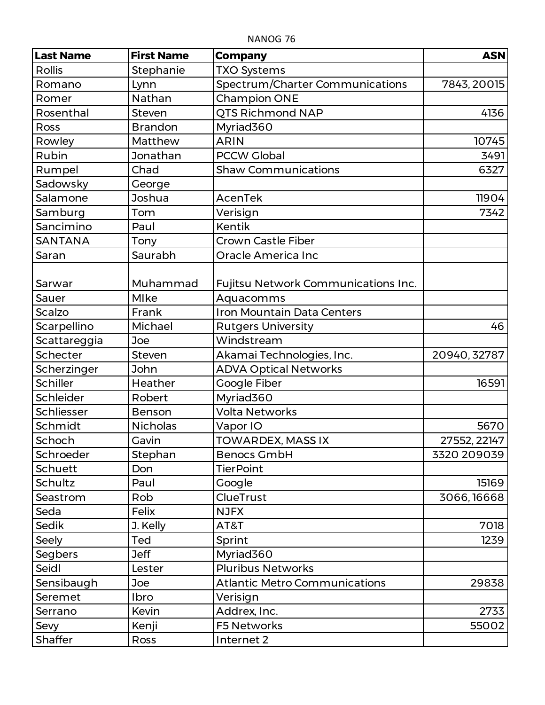| <b>Last Name</b> | <b>First Name</b> | <b>Company</b>                       | <b>ASN</b>   |
|------------------|-------------------|--------------------------------------|--------------|
| <b>Rollis</b>    | Stephanie         | <b>TXO Systems</b>                   |              |
| Romano           | Lynn              | Spectrum/Charter Communications      | 7843, 20015  |
| Romer            | Nathan            | <b>Champion ONE</b>                  |              |
| Rosenthal        | <b>Steven</b>     | <b>QTS Richmond NAP</b>              | 4136         |
| Ross             | <b>Brandon</b>    | Myriad360                            |              |
| Rowley           | Matthew           | <b>ARIN</b>                          | 10745        |
| Rubin            | Jonathan          | <b>PCCW Global</b>                   | 3491         |
| Rumpel           | Chad              | <b>Shaw Communications</b>           | 6327         |
| Sadowsky         | George            |                                      |              |
| Salamone         | Joshua            | AcenTek                              | 11904        |
| Samburg          | Tom               | Verisign                             | 7342         |
| Sancimino        | Paul              | <b>Kentik</b>                        |              |
| <b>SANTANA</b>   | Tony              | <b>Crown Castle Fiber</b>            |              |
| Saran            | Saurabh           | Oracle America Inc                   |              |
| Sarwar           | Muhammad          | Fujitsu Network Communications Inc.  |              |
| Sauer            | Mlke              | Aquacomms                            |              |
| Scalzo           | Frank             | Iron Mountain Data Centers           |              |
| Scarpellino      | Michael           | <b>Rutgers University</b>            | 46           |
| Scattareggia     | Joe               | Windstream                           |              |
| Schecter         | <b>Steven</b>     | Akamai Technologies, Inc.            | 20940, 32787 |
| Scherzinger      | John              | <b>ADVA Optical Networks</b>         |              |
| <b>Schiller</b>  | Heather           | Google Fiber                         | 16591        |
| Schleider        | Robert            | Myriad360                            |              |
| Schliesser       | Benson            | <b>Volta Networks</b>                |              |
| Schmidt          | <b>Nicholas</b>   | Vapor IO                             | 5670         |
| Schoch           | Gavin             | <b>TOWARDEX, MASS IX</b>             | 27552, 22147 |
| Schroeder        | Stephan           | <b>Benocs GmbH</b>                   | 3320 209039  |
| <b>Schuett</b>   | Don               | <b>TierPoint</b>                     |              |
| Schultz          | Paul              | Google                               | 15169        |
| Seastrom         | Rob               | ClueTrust                            | 3066, 16668  |
| Seda             | Felix             | <b>NJFX</b>                          |              |
| Sedik            | J. Kelly          | AT&T                                 | 7018         |
| Seely            | Ted               | Sprint                               | 1239         |
| Segbers          | <b>Jeff</b>       | Myriad360                            |              |
| Seidl            | Lester            | <b>Pluribus Networks</b>             |              |
| Sensibaugh       | Joe               | <b>Atlantic Metro Communications</b> | 29838        |
| Seremet          | Ibro              | Verisign                             |              |
| Serrano          | Kevin             | Addrex, Inc.                         | 2733         |
| Sevy             | Kenji             | <b>F5 Networks</b>                   | 55002        |
| Shaffer          | Ross              | Internet 2                           |              |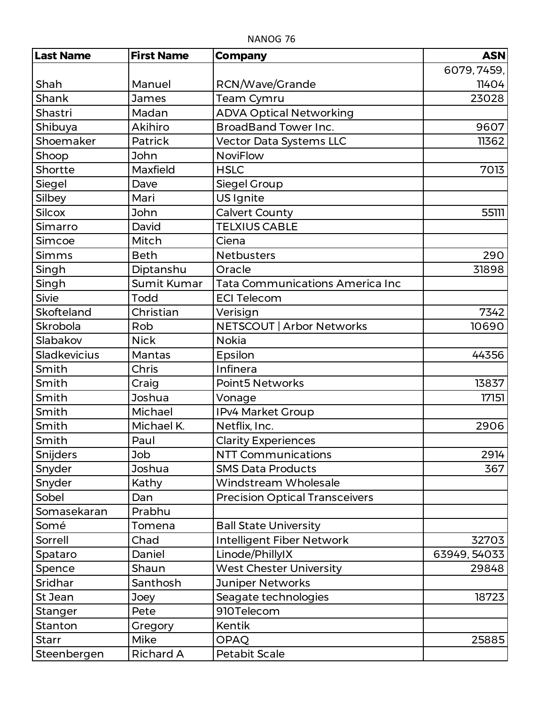| <b>Last Name</b>    | <b>First Name</b> | <b>Company</b>                         | <b>ASN</b>   |
|---------------------|-------------------|----------------------------------------|--------------|
|                     |                   |                                        | 6079, 7459,  |
| Shah                | Manuel            | RCN/Wave/Grande                        | 11404        |
| Shank               | <b>James</b>      | <b>Team Cymru</b>                      | 23028        |
| Shastri             | Madan             | <b>ADVA Optical Networking</b>         |              |
| Shibuya             | <b>Akihiro</b>    | <b>BroadBand Tower Inc.</b>            | 9607         |
| Shoemaker           | Patrick           | Vector Data Systems LLC                | 11362        |
| Shoop               | John              | <b>NoviFlow</b>                        |              |
| Shortte             | Maxfield          | <b>HSLC</b>                            | 7013         |
| Siegel              | Dave              | Siegel Group                           |              |
| Silbey              | Mari              | US Ignite                              |              |
| <b>Silcox</b>       | John              | <b>Calvert County</b>                  | 55111        |
| Simarro             | David             | <b>TELXIUS CABLE</b>                   |              |
| Simcoe              | Mitch             | Ciena                                  |              |
| Simms               | <b>Beth</b>       | <b>Netbusters</b>                      | 290          |
| Singh               | Diptanshu         | Oracle                                 | 31898        |
| Singh               | Sumit Kumar       | <b>Tata Communications America Inc</b> |              |
| <b>Sivie</b>        | Todd              | <b>ECI Telecom</b>                     |              |
| Skofteland          | Christian         | Verisign                               | 7342         |
| Skrobola            | Rob               | NETSCOUT   Arbor Networks              | 10690        |
| Slabakov            | <b>Nick</b>       | <b>Nokia</b>                           |              |
| <b>Sladkevicius</b> | Mantas            | Epsilon                                | 44356        |
| Smith               | Chris             | Infinera                               |              |
| Smith               | Craig             | Point5 Networks                        | 13837        |
| Smith               | Joshua            | Vonage                                 | 17151        |
| Smith               | Michael           | IPv4 Market Group                      |              |
| Smith               | Michael K.        | Netflix, Inc.                          | 2906         |
| Smith               | Paul              | <b>Clarity Experiences</b>             |              |
| Snijders            | Job               | <b>NTT Communications</b>              | 2914         |
| Snyder              | Joshua            | <b>SMS Data Products</b>               | 367          |
| Snyder              | Kathy             | Windstream Wholesale                   |              |
| Sobel               | Dan               | <b>Precision Optical Transceivers</b>  |              |
| Somasekaran         | Prabhu            |                                        |              |
| Somé                | Tomena            | <b>Ball State University</b>           |              |
| Sorrell             | Chad              | Intelligent Fiber Network              | 32703        |
| Spataro             | Daniel            | Linode/PhillyIX                        | 63949, 54033 |
| Spence              | Shaun             | <b>West Chester University</b>         | 29848        |
| Sridhar             | Santhosh          | <b>Juniper Networks</b>                |              |
| St Jean             | Joey              | Seagate technologies                   | 18723        |
| Stanger             | Pete              | 910Telecom                             |              |
| Stanton             | Gregory           | <b>Kentik</b>                          |              |
| <b>Starr</b>        | Mike              | <b>OPAQ</b>                            | 25885        |
| Steenbergen         | <b>Richard A</b>  | Petabit Scale                          |              |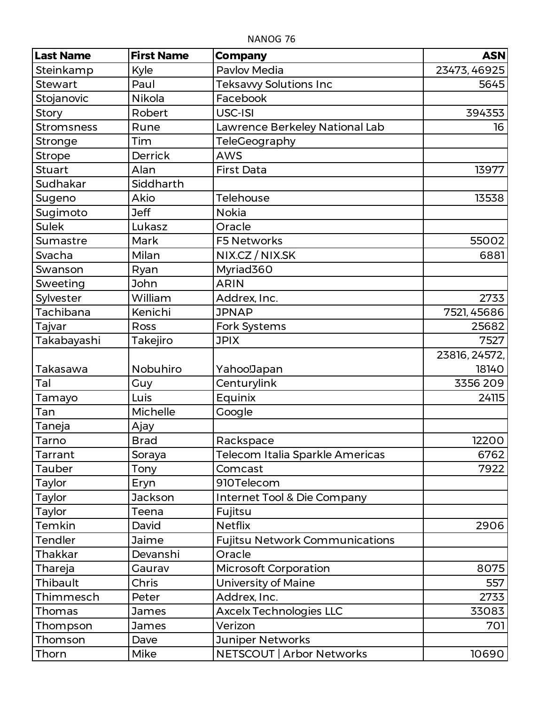| <b>Last Name</b>  | <b>First Name</b> | <b>Company</b>                        | <b>ASN</b>    |
|-------------------|-------------------|---------------------------------------|---------------|
| Steinkamp         | Kyle              | <b>Pavlov Media</b>                   | 23473, 46925  |
| <b>Stewart</b>    | Paul              | <b>Teksavvy Solutions Inc</b>         | 5645          |
| Stojanovic        | Nikola            | Facebook                              |               |
| Story             | Robert            | USC-ISI                               | 394353        |
| <b>Stromsness</b> | Rune              | Lawrence Berkeley National Lab        | 16            |
| Stronge           | <b>Tim</b>        | TeleGeography                         |               |
| <b>Strope</b>     | <b>Derrick</b>    | <b>AWS</b>                            |               |
| <b>Stuart</b>     | Alan              | <b>First Data</b>                     | 13977         |
| Sudhakar          | Siddharth         |                                       |               |
| Sugeno            | Akio              | Telehouse                             | 13538         |
| Sugimoto          | <b>Jeff</b>       | <b>Nokia</b>                          |               |
| <b>Sulek</b>      | Lukasz            | Oracle                                |               |
| Sumastre          | Mark              | <b>F5 Networks</b>                    | 55002         |
| Svacha            | Milan             | NIX.CZ / NIX.SK                       | 6881          |
| Swanson           | Ryan              | Myriad360                             |               |
| Sweeting          | John              | <b>ARIN</b>                           |               |
| Sylvester         | William           | Addrex, Inc.                          | 2733          |
| Tachibana         | Kenichi           | <b>JPNAP</b>                          | 7521, 45686   |
| Tajvar            | Ross              | Fork Systems                          | 25682         |
| Takabayashi       | Takejiro          | <b>JPIX</b>                           | 7527          |
|                   |                   |                                       | 23816, 24572, |
| Takasawa          | Nobuhiro          | Yahoo!Japan                           | 18140         |
| Tal               | Guy               | Centurylink                           | 3356 209      |
| Tamayo            | Luis              | Equinix                               | 24115         |
| Tan               | Michelle          | Google                                |               |
| Taneja            | Ajay              |                                       |               |
| Tarno             | <b>Brad</b>       | Rackspace                             | 12200         |
| Tarrant           | Soraya            | Telecom Italia Sparkle Americas       | 6762          |
| <b>Tauber</b>     | Tony              | Comcast                               | 7922          |
| <b>Taylor</b>     | Eryn              | 910Telecom                            |               |
| Taylor            | Jackson           | Internet Tool & Die Company           |               |
| <b>Taylor</b>     | Teena             | Fujitsu                               |               |
| Temkin            | David             | <b>Netflix</b>                        | 2906          |
| <b>Tendler</b>    | Jaime             | <b>Fujitsu Network Communications</b> |               |
| <b>Thakkar</b>    | Devanshi          | Oracle                                |               |
| Thareja           | Gaurav            | <b>Microsoft Corporation</b>          | 8075          |
| Thibault          | Chris             | <b>University of Maine</b>            | 557           |
| Thimmesch         | Peter             | Addrex, Inc.                          | 2733          |
| Thomas            | James             | <b>Axcelx Technologies LLC</b>        | 33083         |
| Thompson          | <b>James</b>      | Verizon                               | 701           |
| Thomson           | Dave              | Juniper Networks                      |               |
| Thorn             | Mike              | NETSCOUT   Arbor Networks             | 10690         |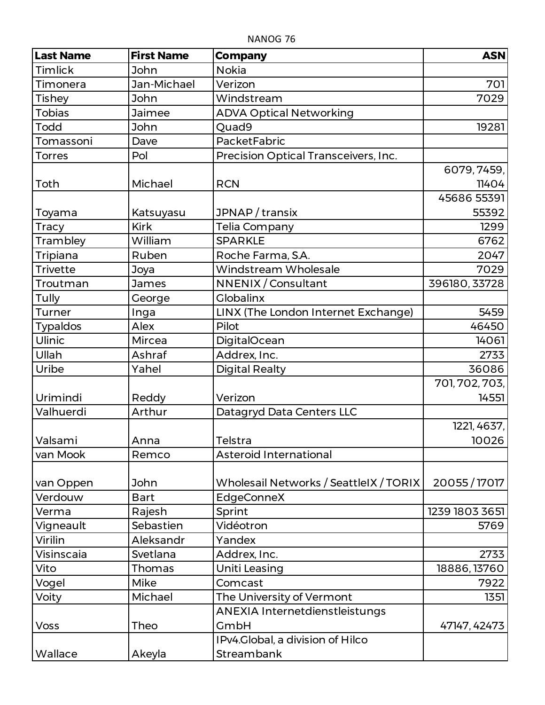| <b>Last Name</b> | <b>First Name</b> | <b>Company</b>                         | <b>ASN</b>     |
|------------------|-------------------|----------------------------------------|----------------|
| Timlick          | John              | <b>Nokia</b>                           |                |
| Timonera         | Jan-Michael       | Verizon                                | 701            |
| <b>Tishey</b>    | John              | Windstream                             | 7029           |
| <b>Tobias</b>    | Jaimee            | <b>ADVA Optical Networking</b>         |                |
| <b>Todd</b>      | John              | Quad9                                  | 19281          |
| Tomassoni        | Dave              | PacketFabric                           |                |
| <b>Torres</b>    | Pol               | Precision Optical Transceivers, Inc.   |                |
|                  |                   |                                        | 6079, 7459,    |
| Toth             | Michael           | <b>RCN</b>                             | 11404          |
|                  |                   |                                        | 45686 55391    |
| Toyama           | Katsuyasu         | JPNAP / transix                        | 55392          |
| <b>Tracy</b>     | <b>Kirk</b>       | Telia Company                          | 1299           |
| Trambley         | William           | <b>SPARKLE</b>                         | 6762           |
| <b>Tripiana</b>  | Ruben             | Roche Farma, S.A.                      | 2047           |
| <b>Trivette</b>  | Joya              | Windstream Wholesale                   | 7029           |
| Troutman         | James             | NNENIX / Consultant                    | 396180, 33728  |
| <b>Tully</b>     | George            | <b>Globalinx</b>                       |                |
| Turner           | Inga              | LINX (The London Internet Exchange)    | 5459           |
| <b>Typaldos</b>  | Alex              | Pilot                                  | 46450          |
| Ulinic           | Mircea            | DigitalOcean                           | 14061          |
| Ullah            | Ashraf            | Addrex, Inc.                           | 2733           |
| Uribe            | Yahel             | <b>Digital Realty</b>                  | 36086          |
|                  |                   |                                        | 701, 702, 703, |
| Urimindi         | Reddy             | Verizon                                | 14551          |
| Valhuerdi        | Arthur            | Datagryd Data Centers LLC              |                |
|                  |                   |                                        | 1221, 4637,    |
| Valsami          | Anna              | Telstra                                | 10026          |
| van Mook         | Remco             | Asteroid International                 |                |
|                  |                   |                                        |                |
| van Oppen        | John              | Wholesail Networks / SeattleIX / TORIX | 20055/17017    |
| Verdouw          | <b>Bart</b>       | EdgeConneX                             |                |
| Verma            | Rajesh            | Sprint                                 | 1239 1803 3651 |
| Vigneault        | Sebastien         | Vidéotron                              | 5769           |
| Virilin          | Aleksandr         | Yandex                                 |                |
| Visinscaia       | Svetlana          | Addrex, Inc.                           | 2733           |
| Vito             | Thomas            | Uniti Leasing                          | 18886, 13760   |
| Vogel            | <b>Mike</b>       | Comcast                                | 7922           |
| Voity            | Michael           | The University of Vermont              | 1351           |
|                  |                   | ANEXIA Internetdienstleistungs         |                |
| <b>Voss</b>      | Theo              | GmbH                                   | 47147, 42473   |
|                  |                   | IPv4.Global, a division of Hilco       |                |
| Wallace          | Akeyla            | Streambank                             |                |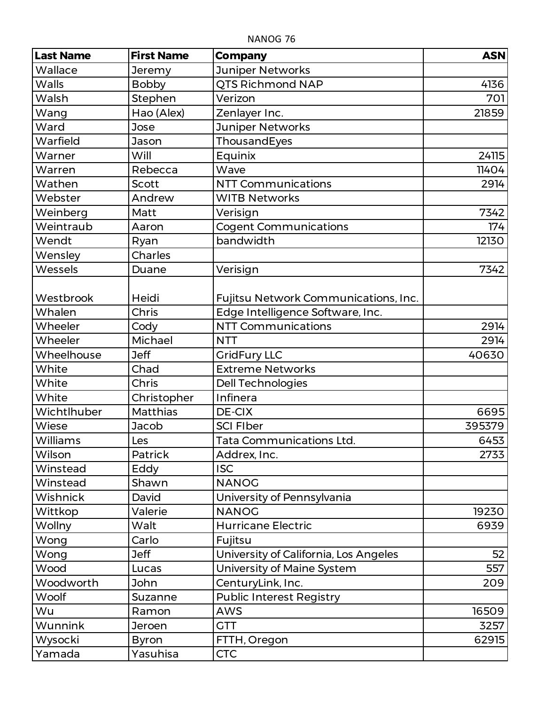| <b>Last Name</b> | <b>First Name</b> | <b>Company</b>                        | <b>ASN</b> |
|------------------|-------------------|---------------------------------------|------------|
| Wallace          | Jeremy            | <b>Juniper Networks</b>               |            |
| Walls            | <b>Bobby</b>      | <b>QTS Richmond NAP</b>               | 4136       |
| Walsh            | Stephen           | Verizon                               | 701        |
| Wang             | Hao (Alex)        | Zenlayer Inc.                         | 21859      |
| Ward             | Jose              | Juniper Networks                      |            |
| Warfield         | Jason             | ThousandEyes                          |            |
| Warner           | Will              | Equinix                               | 24115      |
| Warren           | Rebecca           | Wave                                  | 11404      |
| Wathen           | Scott             | <b>NTT Communications</b>             | 2914       |
| Webster          | Andrew            | <b>WITB Networks</b>                  |            |
| Weinberg         | Matt              | Verisign                              | 7342       |
| Weintraub        | Aaron             | <b>Cogent Communications</b>          | 174        |
| Wendt            | Ryan              | bandwidth                             | 12130      |
| Wensley          | <b>Charles</b>    |                                       |            |
| Wessels          | Duane             | Verisign                              | 7342       |
| Westbrook        | Heidi             | Fujitsu Network Communications, Inc.  |            |
| Whalen           | Chris             | Edge Intelligence Software, Inc.      |            |
| Wheeler          | Cody              | <b>NTT Communications</b>             | 2914       |
| Wheeler          | Michael           | <b>NTT</b>                            | 2914       |
| Wheelhouse       | <b>Jeff</b>       | <b>GridFury LLC</b>                   | 40630      |
| White            | Chad              | <b>Extreme Networks</b>               |            |
| White            | <b>Chris</b>      | Dell Technologies                     |            |
| White            | Christopher       | Infinera                              |            |
| Wichtlhuber      | <b>Matthias</b>   | DE-CIX                                | 6695       |
| Wiese            | Jacob             | <b>SCI FIber</b>                      | 395379     |
| Williams         | Les               | Tata Communications Ltd.              | 6453       |
| Wilson           | <b>Patrick</b>    | Addrex, Inc.                          | 2733       |
| Winstead         | Eddy              | <b>ISC</b>                            |            |
| Winstead         | Shawn             | <b>NANOG</b>                          |            |
| Wishnick         | David             | University of Pennsylvania            |            |
| Wittkop          | Valerie           | <b>NANOG</b>                          | 19230      |
| Wollny           | Walt              | <b>Hurricane Electric</b>             | 6939       |
| Wong             | Carlo             | Fujitsu                               |            |
| Wong             | <b>Jeff</b>       | University of California, Los Angeles | 52         |
| Wood             | Lucas             | University of Maine System            | 557        |
| Woodworth        | John              | CenturyLink, Inc.                     | 209        |
| Woolf            | Suzanne           | <b>Public Interest Registry</b>       |            |
| Wu               | Ramon             | <b>AWS</b>                            | 16509      |
| Wunnink          | Jeroen            | <b>GTT</b>                            | 3257       |
| Wysocki          | <b>Byron</b>      | FTTH, Oregon                          | 62915      |
| Yamada           | Yasuhisa          | <b>CTC</b>                            |            |